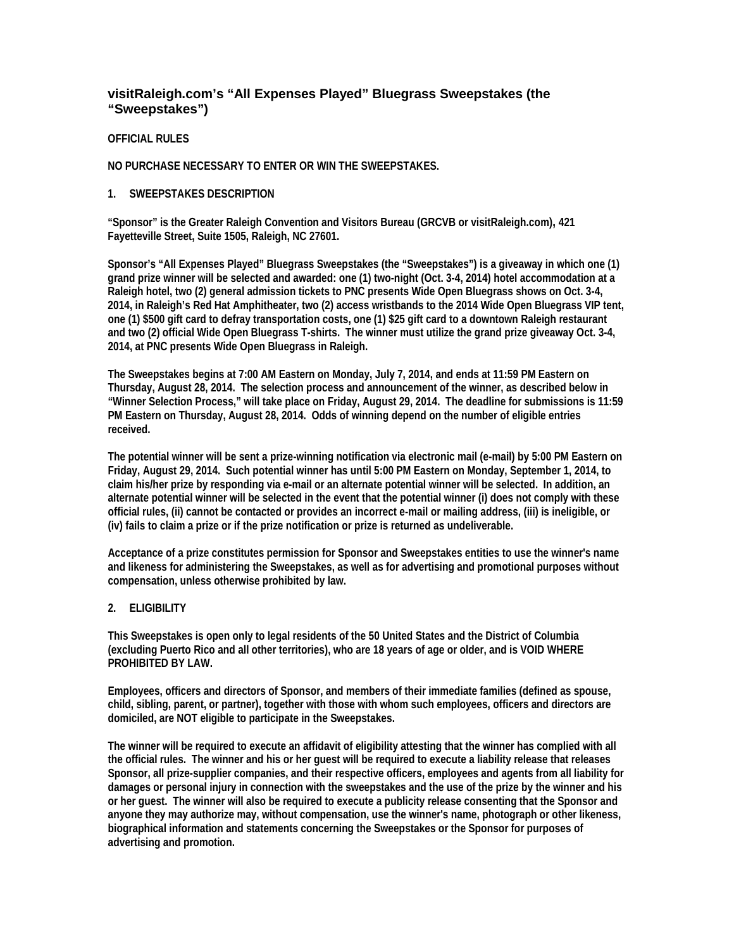# **visitRaleigh.com's "All Expenses Played" Bluegrass Sweepstakes (the "Sweepstakes")**

## **OFFICIAL RULES**

## **NO PURCHASE NECESSARY TO ENTER OR WIN THE SWEEPSTAKES.**

## **1. SWEEPSTAKES DESCRIPTION**

**"Sponsor" is the Greater Raleigh Convention and Visitors Bureau (GRCVB or visitRaleigh.com), 421 Fayetteville Street, Suite 1505, Raleigh, NC 27601.**

**Sponsor's "All Expenses Played" Bluegrass Sweepstakes (the "Sweepstakes") is a giveaway in which one (1) grand prize winner will be selected and awarded: one (1) two-night (Oct. 3-4, 2014) hotel accommodation at a Raleigh hotel, two (2) general admission tickets to PNC presents Wide Open Bluegrass shows on Oct. 3-4, 2014, in Raleigh's Red Hat Amphitheater, two (2) access wristbands to the 2014 Wide Open Bluegrass VIP tent, one (1) \$500 gift card to defray transportation costs, one (1) \$25 gift card to a downtown Raleigh restaurant and two (2) official Wide Open Bluegrass T-shirts. The winner must utilize the grand prize giveaway Oct. 3-4, 2014, at PNC presents Wide Open Bluegrass in Raleigh.**

**The Sweepstakes begins at 7:00 AM Eastern on Monday, July 7, 2014, and ends at 11:59 PM Eastern on Thursday, August 28, 2014. The selection process and announcement of the winner, as described below in "Winner Selection Process," will take place on Friday, August 29, 2014. The deadline for submissions is 11:59 PM Eastern on Thursday, August 28, 2014. Odds of winning depend on the number of eligible entries received.**

**The potential winner will be sent a prize-winning notification via electronic mail (e-mail) by 5:00 PM Eastern on Friday, August 29, 2014. Such potential winner has until 5:00 PM Eastern on Monday, September 1, 2014, to claim his/her prize by responding via e-mail or an alternate potential winner will be selected. In addition, an alternate potential winner will be selected in the event that the potential winner (i) does not comply with these official rules, (ii) cannot be contacted or provides an incorrect e-mail or mailing address, (iii) is ineligible, or (iv) fails to claim a prize or if the prize notification or prize is returned as undeliverable.**

**Acceptance of a prize constitutes permission for Sponsor and Sweepstakes entities to use the winner's name and likeness for administering the Sweepstakes, as well as for advertising and promotional purposes without compensation, unless otherwise prohibited by law.**

## **2. ELIGIBILITY**

**This Sweepstakes is open only to legal residents of the 50 United States and the District of Columbia (excluding Puerto Rico and all other territories), who are 18 years of age or older, and is VOID WHERE PROHIBITED BY LAW.**

**Employees, officers and directors of Sponsor, and members of their immediate families (defined as spouse, child, sibling, parent, or partner), together with those with whom such employees, officers and directors are domiciled, are NOT eligible to participate in the Sweepstakes.**

**The winner will be required to execute an affidavit of eligibility attesting that the winner has complied with all the official rules. The winner and his or her guest will be required to execute a liability release that releases Sponsor, all prize-supplier companies, and their respective officers, employees and agents from all liability for damages or personal injury in connection with the sweepstakes and the use of the prize by the winner and his or her guest. The winner will also be required to execute a publicity release consenting that the Sponsor and anyone they may authorize may, without compensation, use the winner's name, photograph or other likeness, biographical information and statements concerning the Sweepstakes or the Sponsor for purposes of advertising and promotion.**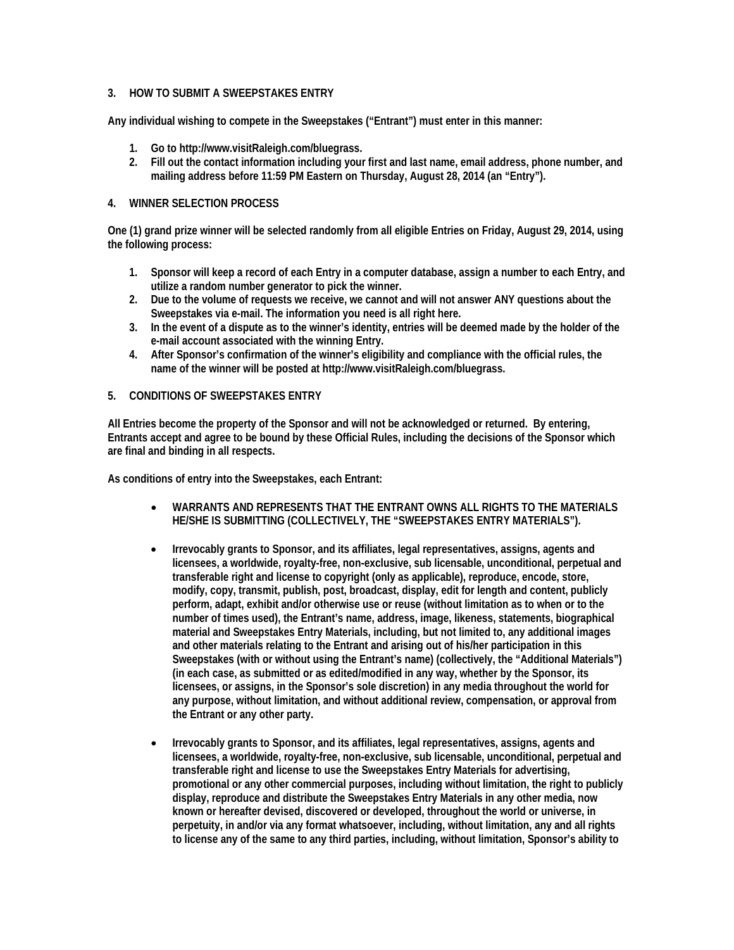## **3. HOW TO SUBMIT A SWEEPSTAKES ENTRY**

**Any individual wishing to compete in the Sweepstakes ("Entrant") must enter in this manner:**

- **1. Go to http://www.visitRaleigh.com/bluegrass.**
- **2. Fill out the contact information including your first and last name, email address, phone number, and mailing address before 11:59 PM Eastern on Thursday, August 28, 2014 (an "Entry").**

### **4. WINNER SELECTION PROCESS**

**One (1) grand prize winner will be selected randomly from all eligible Entries on Friday, August 29, 2014, using the following process:**

- **1. Sponsor will keep a record of each Entry in a computer database, assign a number to each Entry, and utilize a random number generator to pick the winner.**
- **2. Due to the volume of requests we receive, we cannot and will not answer ANY questions about the Sweepstakes via e-mail. The information you need is all right here.**
- **3. In the event of a dispute as to the winner's identity, entries will be deemed made by the holder of the e-mail account associated with the winning Entry.**
- **4. After Sponsor's confirmation of the winner's eligibility and compliance with the official rules, the name of the winner will be posted at http://www.visitRaleigh.com/bluegrass.**

## **5. CONDITIONS OF SWEEPSTAKES ENTRY**

**All Entries become the property of the Sponsor and will not be acknowledged or returned. By entering, Entrants accept and agree to be bound by these Official Rules, including the decisions of the Sponsor which are final and binding in all respects.** 

**As conditions of entry into the Sweepstakes, each Entrant:**

- **WARRANTS AND REPRESENTS THAT THE ENTRANT OWNS ALL RIGHTS TO THE MATERIALS HE/SHE IS SUBMITTING (COLLECTIVELY, THE "SWEEPSTAKES ENTRY MATERIALS").**
- **Irrevocably grants to Sponsor, and its affiliates, legal representatives, assigns, agents and licensees, a worldwide, royalty-free, non-exclusive, sub licensable, unconditional, perpetual and transferable right and license to copyright (only as applicable), reproduce, encode, store, modify, copy, transmit, publish, post, broadcast, display, edit for length and content, publicly perform, adapt, exhibit and/or otherwise use or reuse (without limitation as to when or to the number of times used), the Entrant's name, address, image, likeness, statements, biographical material and Sweepstakes Entry Materials, including, but not limited to, any additional images and other materials relating to the Entrant and arising out of his/her participation in this Sweepstakes (with or without using the Entrant's name) (collectively, the "Additional Materials") (in each case, as submitted or as edited/modified in any way, whether by the Sponsor, its licensees, or assigns, in the Sponsor's sole discretion) in any media throughout the world for any purpose, without limitation, and without additional review, compensation, or approval from the Entrant or any other party.**
- **Irrevocably grants to Sponsor, and its affiliates, legal representatives, assigns, agents and licensees, a worldwide, royalty-free, non-exclusive, sub licensable, unconditional, perpetual and transferable right and license to use the Sweepstakes Entry Materials for advertising, promotional or any other commercial purposes, including without limitation, the right to publicly display, reproduce and distribute the Sweepstakes Entry Materials in any other media, now known or hereafter devised, discovered or developed, throughout the world or universe, in perpetuity, in and/or via any format whatsoever, including, without limitation, any and all rights to license any of the same to any third parties, including, without limitation, Sponsor's ability to**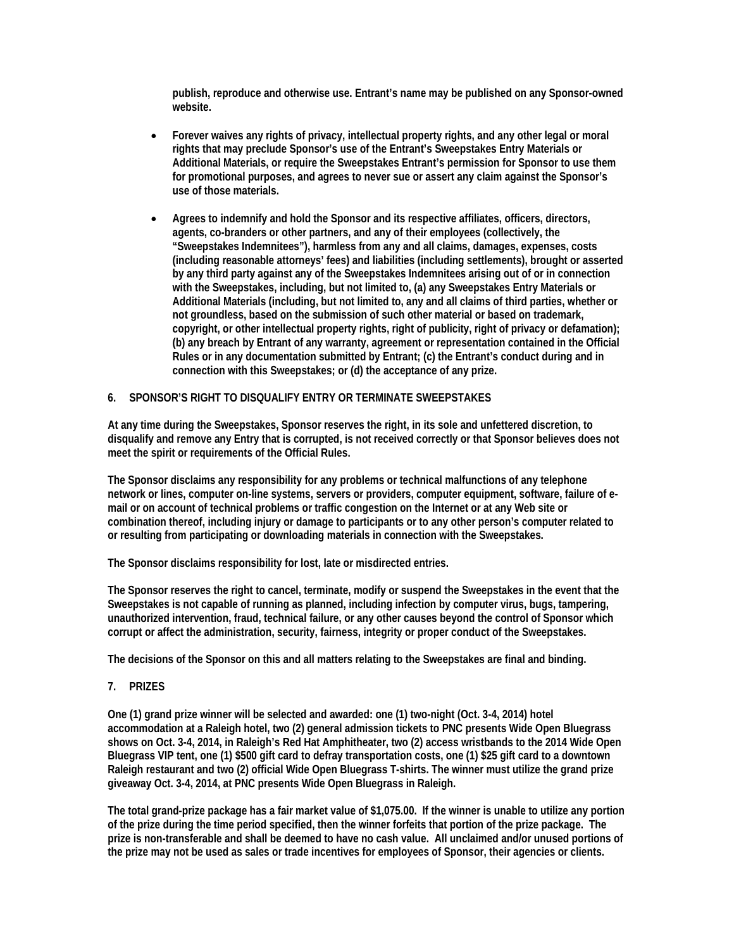**publish, reproduce and otherwise use. Entrant's name may be published on any Sponsor-owned website.**

- **Forever waives any rights of privacy, intellectual property rights, and any other legal or moral rights that may preclude Sponsor's use of the Entrant's Sweepstakes Entry Materials or Additional Materials, or require the Sweepstakes Entrant's permission for Sponsor to use them for promotional purposes, and agrees to never sue or assert any claim against the Sponsor's use of those materials.**
- **Agrees to indemnify and hold the Sponsor and its respective affiliates, officers, directors, agents, co-branders or other partners, and any of their employees (collectively, the "Sweepstakes Indemnitees"), harmless from any and all claims, damages, expenses, costs (including reasonable attorneys' fees) and liabilities (including settlements), brought or asserted by any third party against any of the Sweepstakes Indemnitees arising out of or in connection with the Sweepstakes, including, but not limited to, (a) any Sweepstakes Entry Materials or Additional Materials (including, but not limited to, any and all claims of third parties, whether or not groundless, based on the submission of such other material or based on trademark, copyright, or other intellectual property rights, right of publicity, right of privacy or defamation); (b) any breach by Entrant of any warranty, agreement or representation contained in the Official Rules or in any documentation submitted by Entrant; (c) the Entrant's conduct during and in connection with this Sweepstakes; or (d) the acceptance of any prize.**

## **6. SPONSOR'S RIGHT TO DISQUALIFY ENTRY OR TERMINATE SWEEPSTAKES**

**At any time during the Sweepstakes, Sponsor reserves the right, in its sole and unfettered discretion, to disqualify and remove any Entry that is corrupted, is not received correctly or that Sponsor believes does not meet the spirit or requirements of the Official Rules.** 

**The Sponsor disclaims any responsibility for any problems or technical malfunctions of any telephone network or lines, computer on-line systems, servers or providers, computer equipment, software, failure of email or on account of technical problems or traffic congestion on the Internet or at any Web site or combination thereof, including injury or damage to participants or to any other person's computer related to or resulting from participating or downloading materials in connection with the Sweepstakes.**

**The Sponsor disclaims responsibility for lost, late or misdirected entries.**

**The Sponsor reserves the right to cancel, terminate, modify or suspend the Sweepstakes in the event that the Sweepstakes is not capable of running as planned, including infection by computer virus, bugs, tampering, unauthorized intervention, fraud, technical failure, or any other causes beyond the control of Sponsor which corrupt or affect the administration, security, fairness, integrity or proper conduct of the Sweepstakes.**

**The decisions of the Sponsor on this and all matters relating to the Sweepstakes are final and binding.**

## **7. PRIZES**

**One (1) grand prize winner will be selected and awarded: one (1) two-night (Oct. 3-4, 2014) hotel accommodation at a Raleigh hotel, two (2) general admission tickets to PNC presents Wide Open Bluegrass shows on Oct. 3-4, 2014, in Raleigh's Red Hat Amphitheater, two (2) access wristbands to the 2014 Wide Open Bluegrass VIP tent, one (1) \$500 gift card to defray transportation costs, one (1) \$25 gift card to a downtown Raleigh restaurant and two (2) official Wide Open Bluegrass T-shirts. The winner must utilize the grand prize giveaway Oct. 3-4, 2014, at PNC presents Wide Open Bluegrass in Raleigh.**

**The total grand-prize package has a fair market value of \$1,075.00. If the winner is unable to utilize any portion of the prize during the time period specified, then the winner forfeits that portion of the prize package. The prize is non-transferable and shall be deemed to have no cash value. All unclaimed and/or unused portions of the prize may not be used as sales or trade incentives for employees of Sponsor, their agencies or clients.**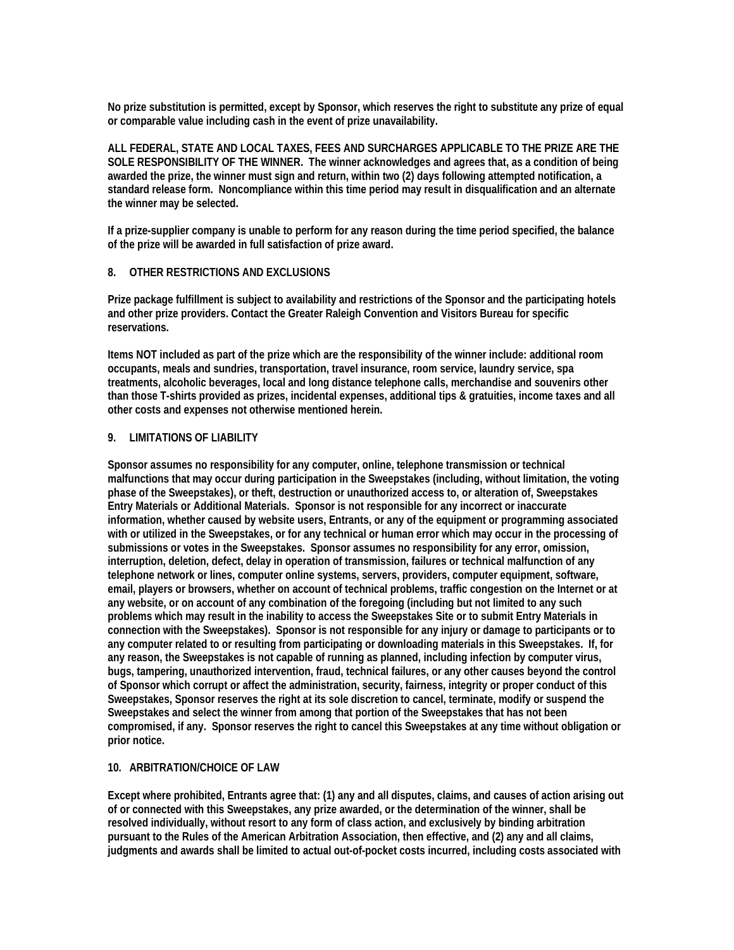**No prize substitution is permitted, except by Sponsor, which reserves the right to substitute any prize of equal or comparable value including cash in the event of prize unavailability.** 

**ALL FEDERAL, STATE AND LOCAL TAXES, FEES AND SURCHARGES APPLICABLE TO THE PRIZE ARE THE SOLE RESPONSIBILITY OF THE WINNER. The winner acknowledges and agrees that, as a condition of being awarded the prize, the winner must sign and return, within two (2) days following attempted notification, a standard release form. Noncompliance within this time period may result in disqualification and an alternate the winner may be selected.**

**If a prize-supplier company is unable to perform for any reason during the time period specified, the balance of the prize will be awarded in full satisfaction of prize award.**

## **8. OTHER RESTRICTIONS AND EXCLUSIONS**

**Prize package fulfillment is subject to availability and restrictions of the Sponsor and the participating hotels and other prize providers. Contact the Greater Raleigh Convention and Visitors Bureau for specific reservations.**

**Items NOT included as part of the prize which are the responsibility of the winner include: additional room occupants, meals and sundries, transportation, travel insurance, room service, laundry service, spa treatments, alcoholic beverages, local and long distance telephone calls, merchandise and souvenirs other than those T-shirts provided as prizes, incidental expenses, additional tips & gratuities, income taxes and all other costs and expenses not otherwise mentioned herein.**

### **9. LIMITATIONS OF LIABILITY**

**Sponsor assumes no responsibility for any computer, online, telephone transmission or technical malfunctions that may occur during participation in the Sweepstakes (including, without limitation, the voting phase of the Sweepstakes), or theft, destruction or unauthorized access to, or alteration of, Sweepstakes Entry Materials or Additional Materials. Sponsor is not responsible for any incorrect or inaccurate information, whether caused by website users, Entrants, or any of the equipment or programming associated**  with or utilized in the Sweepstakes, or for any technical or human error which may occur in the processing of **submissions or votes in the Sweepstakes. Sponsor assumes no responsibility for any error, omission, interruption, deletion, defect, delay in operation of transmission, failures or technical malfunction of any telephone network or lines, computer online systems, servers, providers, computer equipment, software, email, players or browsers, whether on account of technical problems, traffic congestion on the Internet or at any website, or on account of any combination of the foregoing (including but not limited to any such problems which may result in the inability to access the Sweepstakes Site or to submit Entry Materials in connection with the Sweepstakes). Sponsor is not responsible for any injury or damage to participants or to any computer related to or resulting from participating or downloading materials in this Sweepstakes. If, for any reason, the Sweepstakes is not capable of running as planned, including infection by computer virus, bugs, tampering, unauthorized intervention, fraud, technical failures, or any other causes beyond the control of Sponsor which corrupt or affect the administration, security, fairness, integrity or proper conduct of this Sweepstakes, Sponsor reserves the right at its sole discretion to cancel, terminate, modify or suspend the Sweepstakes and select the winner from among that portion of the Sweepstakes that has not been compromised, if any. Sponsor reserves the right to cancel this Sweepstakes at any time without obligation or prior notice.**

#### **10. ARBITRATION/CHOICE OF LAW**

**Except where prohibited, Entrants agree that: (1) any and all disputes, claims, and causes of action arising out of or connected with this Sweepstakes, any prize awarded, or the determination of the winner, shall be resolved individually, without resort to any form of class action, and exclusively by binding arbitration pursuant to the Rules of the American Arbitration Association, then effective, and (2) any and all claims, judgments and awards shall be limited to actual out-of-pocket costs incurred, including costs associated with**